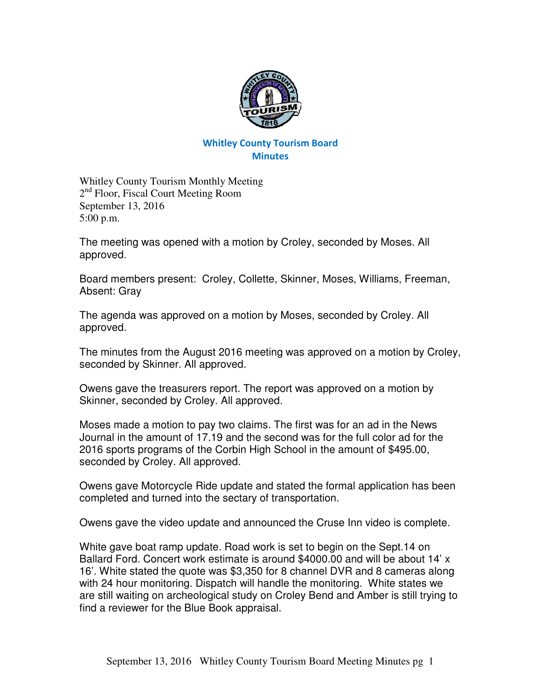

## Whitley County Tourism Board **Minutes**

Whitley County Tourism Monthly Meeting 2<sup>nd</sup> Floor, Fiscal Court Meeting Room September 13, 2016 5:00 p.m.

The meeting was opened with a motion by Croley, seconded by Moses. All approved.

Board members present: Croley, Collette, Skinner, Moses, Williams, Freeman, Absent: Gray

The agenda was approved on a motion by Moses, seconded by Croley. All approved.

The minutes from the August 2016 meeting was approved on a motion by Croley, seconded by Skinner. All approved.

Owens gave the treasurers report. The report was approved on a motion by Skinner, seconded by Croley. All approved.

Moses made a motion to pay two claims. The first was for an ad in the News Journal in the amount of 17.19 and the second was for the full color ad for the 2016 sports programs of the Corbin High School in the amount of \$495.00, seconded by Croley. All approved.

Owens gave Motorcycle Ride update and stated the formal application has been completed and turned into the sectary of transportation.

Owens gave the video update and announced the Cruse Inn video is complete.

White gave boat ramp update. Road work is set to begin on the Sept.14 on Ballard Ford. Concert work estimate is around \$4000.00 and will be about 14' x 16'. White stated the quote was \$3,350 for 8 channel DVR and 8 cameras along with 24 hour monitoring. Dispatch will handle the monitoring. White states we are still waiting on archeological study on Croley Bend and Amber is still trying to find a reviewer for the Blue Book appraisal.